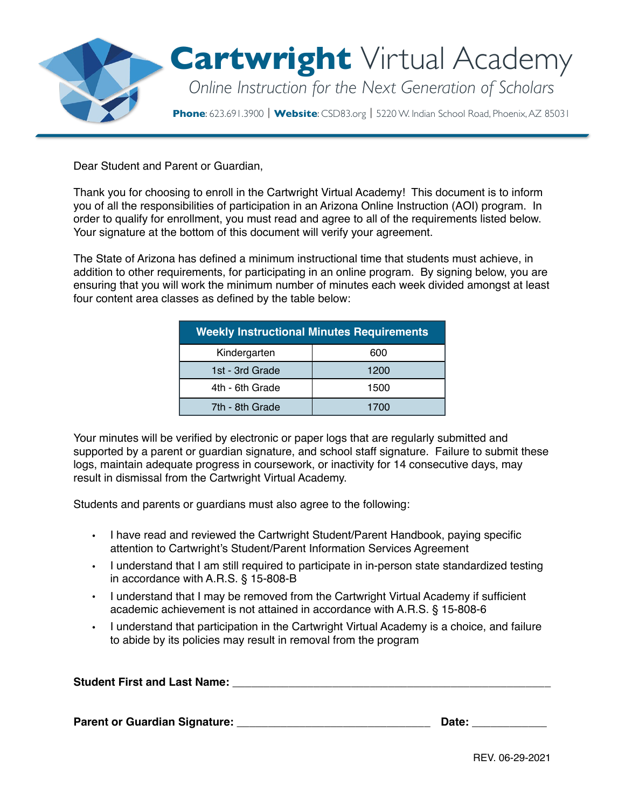

Dear Student and Parent or Guardian,

Thank you for choosing to enroll in the Cartwright Virtual Academy! This document is to inform you of all the responsibilities of participation in an Arizona Online Instruction (AOI) program. In order to qualify for enrollment, you must read and agree to all of the requirements listed below. Your signature at the bottom of this document will verify your agreement.

The State of Arizona has defined a minimum instructional time that students must achieve, in addition to other requirements, for participating in an online program. By signing below, you are ensuring that you will work the minimum number of minutes each week divided amongst at least four content area classes as defined by the table below:

| <b>Weekly Instructional Minutes Requirements</b> |      |  |  |
|--------------------------------------------------|------|--|--|
| Kindergarten                                     | 600  |  |  |
| 1st - 3rd Grade                                  | 1200 |  |  |
| 4th - 6th Grade                                  | 1500 |  |  |
| 7th - 8th Grade                                  | 1700 |  |  |

Your minutes will be verified by electronic or paper logs that are regularly submitted and supported by a parent or guardian signature, and school staff signature. Failure to submit these logs, maintain adequate progress in coursework, or inactivity for 14 consecutive days, may result in dismissal from the Cartwright Virtual Academy.

Students and parents or guardians must also agree to the following:

- I have read and reviewed the Cartwright Student/Parent Handbook, paying specific attention to Cartwright's Student/Parent Information Services Agreement
- I understand that I am still required to participate in in-person state standardized testing in accordance with A.R.S. § 15-808-B
- I understand that I may be removed from the Cartwright Virtual Academy if sufficient academic achievement is not attained in accordance with A.R.S. § 15-808-6
- I understand that participation in the Cartwright Virtual Academy is a choice, and failure to abide by its policies may result in removal from the program

| <b>Student First and Last Name:</b> |  |  |
|-------------------------------------|--|--|
|                                     |  |  |
|                                     |  |  |

**Parent or Guardian Signature:** \_\_\_\_\_\_\_\_\_\_\_\_\_\_\_\_\_\_\_\_\_\_\_\_\_\_\_\_\_\_\_ **Date:** \_\_\_\_\_\_\_\_\_\_\_\_